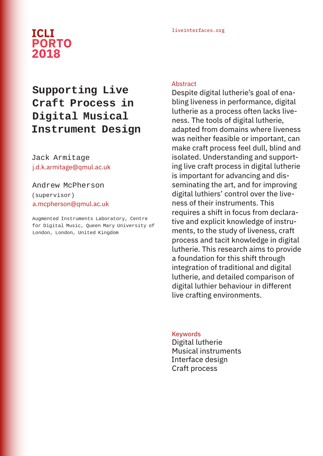## liveinterfaces.org **ICLI PORTO 2018**

# **Supporting Live Craft Process in Digital Musical Instrument Design**

Jack Armitage j.d.k.armitage@qmul.ac.uk

## Andrew McPherson (supervisor) a.mcpherson@qmul.ac.uk

Augmented Instruments Laboratory, Centre for Digital Music, Queen Mary University of London, London, United Kingdom

#### Abstract

Despite digital lutherie's goal of enabling liveness in performance, digital lutherie as a process often lacks liveness. The tools of digital lutherie, adapted from domains where liveness was neither feasible or important, can make craft process feel dull, blind and isolated. Understanding and supporting live craft process in digital lutherie is important for advancing and disseminating the art, and for improving digital luthiers' control over the liveness of their instruments. This requires a shift in focus from declarative and explicit knowledge of instruments, to the study of liveness, craft process and tacit knowledge in digital lutherie. This research aims to provide a foundation for this shift through integration of traditional and digital lutherie, and detailed comparison of digital luthier behaviour in different live crafting environments.

#### Keywords

Digital lutherie Musical instruments Interface design Craft process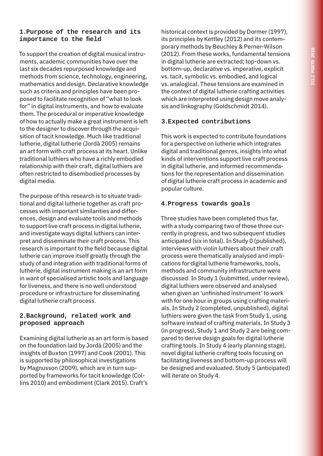## **1.Purpose of the research and its importance to the field**

To support the creation of digital musical instruments, academic communities have over the last six decades repurposed knowledge and methods from science, technology, engineering, mathematics and design. Declarative knowledge such as criteria and principles have been proposed to facilitate recognition of "what to look for" in digital instruments, and how to evaluate them. The procedural or imperative knowledge of how to actually make a great instrument is left to the designer to discover through the acquisition of tacit knowledge. Much like traditional lutherie, digital lutherie (Jordà 2005) remains an art form with craft process at its heart. Unlike traditional luthiers who have a richly embodied relationship with their craft, digital luthiers are often restricted to disembodied processes by digital media.

The purpose of this research is to situate traditional and digital lutherie together as craft processes with important similarities and differences, design and evaluate tools and methods to support live craft process in digital lutherie, and investigate ways digital luthiers can interpret and disseminate their craft process. This research is important to the field because digital lutherie can improve itself greatly through the study of and integration with traditional forms of lutherie, digital instrument making is an art form in want of specialised artistic tools and language for liveness, and there is no well understood procedure or infrastructure for disseminating digital lutherie craft process.

#### **2.Background, related work and proposed approach**

Examining digital lutherie as an art form is based on the foundation laid by Jordà (2005) and the insights of Buxton (1997) and Cook (2001). This is supported by philosophical investigations by Magnusson (2009), which are in turn supported by frameworks for tacit knowledge (Collins 2010) and embodiment (Clark 2015). Craft's

historical context is provided by Dormer (1997), its principles by Kettley (2012) and its contemporary methods by Beuchley & Perner-Wilson (2012). From these works, fundamental tensions in digital lutherie are extracted; top-down vs. bottom-up, declarative vs. imperative, explicit vs. tacit, symbolic vs. embodied, and logical vs. analogical. These tensions are examined in the context of digital lutherie crafting activities which are interpreted using design move analysis and linkography (Goldschmidt 2014).

### **3.Expected contributions**

This work is expected to contribute foundations for a perspective on lutherie which integrates digital and traditional genres, insights into what kinds of interventions support live craft process in digital lutherie, and informed recommendations for the representation and dissemination of digital lutherie craft process in academic and popular culture.

## **4.Progress towards goals**

Three studies have been completed thus far, with a study comparing two of those three currently in progress, and two subsequent studies anticipated (six in total). In Study 0 (published), interviews with violin luthiers about their craft process were thematically analysed and implications for digital lutherie frameworks, tools, methods and community infrastructure were discussed. In Study 1 (submitted, under review), digital luthiers were observed and analysed when given an 'unfinished instrument' to work with for one hour in groups using crafting materials. In Study 2 (completed, unpublished), digital luthiers were given the task from Study 1, using software instead of crafting materials. In Study 3 (in progress), Study 1 and Study 2 are being compared to derive design goals for digital lutherie crafting tools. In Study 4 (early planning stage), novel digital lutherie crafting tools focusing on facilitating liveness and bottom-up process will be designed and evaluated. Study 5 (anticipated) will iterate on Study 4.